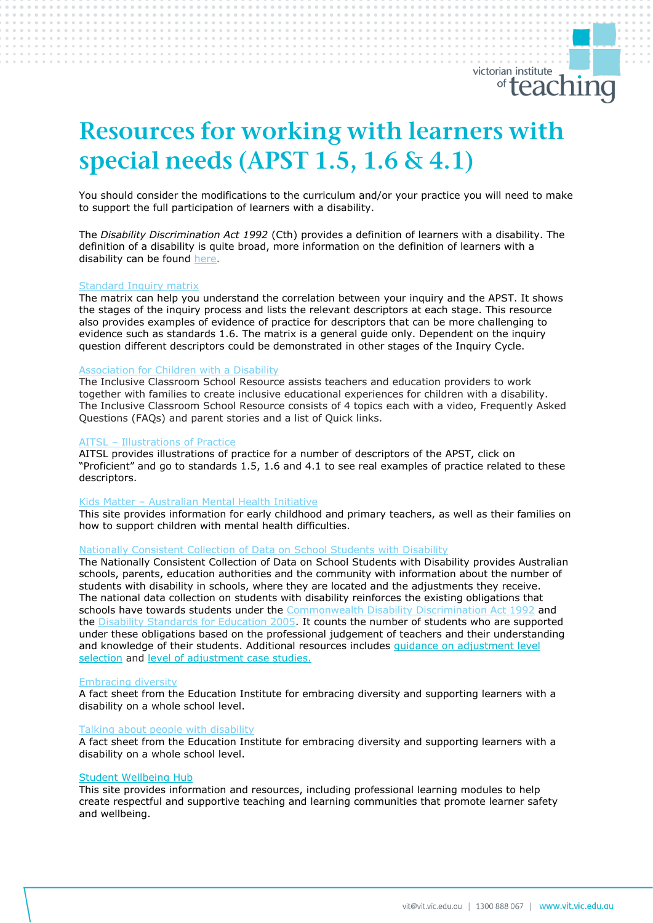# *Resources for working with learners with special needs (APST 1.5, 1.6 & 4.1)*

You should consider the modifications to the curriculum and/or your practice you will need to make to support the full participation of learners with a disability.

The *Disability Discrimination Act 1992* (Cth) provides a definition of learners with a disability. The definition of a disability is quite broad, more information on the definition of learners with a disability can be found [here.](https://www.vit.vic.edu.au/registered-teacher/special-needs-plan)

# [Standard Inquiry matrix](https://www.vit.vic.edu.au/__data/assets/pdf_file/0005/38678/Opportunities-for-demonstrating-the-APST-through-Inquiry-approach-0517.pdf)

The matrix can help you understand the correlation between your inquiry and the APST. It shows the stages of the inquiry process and lists the relevant descriptors at each stage. This resource also provides examples of evidence of practice for descriptors that can be more challenging to evidence such as standards 1.6. The matrix is a general guide only. Dependent on the inquiry question different descriptors could be demonstrated in other stages of the Inquiry Cycle.

## [Association for Children with a Disability](https://acd.org.au/education-planning/)

The Inclusive Classroom School Resource assists teachers and education providers to work together with families to create inclusive educational experiences for children with a disability. The Inclusive Classroom School Resource consists of 4 topics each with a video, Frequently Asked Questions (FAQs) and parent stories and a list of Quick links.

# AITSL – [Illustrations of Practice](https://www.aitsl.edu.au/teach/standards)

AITSL provides illustrations of practice for a number of descriptors of the APST, click on "Proficient" and go to standards 1.5, 1.6 and 4.1 to see real examples of practice related to these descriptors.

# Kids Matter – [Australian Mental Health Initiative](https://www.kidsmatter.edu.au/)

This site provides information for early childhood and primary teachers, as well as their families on how to support children with mental health difficulties.

#### [Nationally Consistent Collection of Data on School Students with Disability](http://www.schooldisabilitydatapl.edu.au/)

The Nationally Consistent Collection of Data on School Students with Disability provides Australian schools, parents, education authorities and the community with information about the number of students with disability in schools, where they are located and the adjustments they receive. The national data collection on students with disability reinforces the existing obligations that schools have towards students under the [Commonwealth Disability Discrimination Act 1992](https://www.legislation.gov.au/Details/C2013C00022) and the **Disability Standards for Education 2005**. It counts the number of students who are supported under these obligations based on the professional judgement of teachers and their understanding and knowledge of their students. Additional resources includes [guidance on adjustment level](https://www.nccd.edu.au/tools/selecting-level-adjustment)  [selection](https://www.nccd.edu.au/tools/selecting-level-adjustment) and [level of adjustment case studies.](https://www.nccd.edu.au/resources-and-tools/case-studies)

#### [Embracing diversity](https://resource.dse.theeducationinstitute.edu.au/sites/default/files/recognising_diversity_v4.pdf)

A fact sheet from the Education Institute for embracing diversity and supporting learners with a disability on a whole school level.

# [Talking about people with disability](https://resource.dse.theeducationinstitute.edu.au/sites/default/files/talking_about_people_with_disability_v3.pdf)

A fact sheet from the Education Institute for embracing diversity and supporting learners with a disability on a whole school level.

#### Student Wellbeing Hub

This site provides information and resources, including professional learning modules to help create respectful and supportive teaching and learning communities that promote learner safety and wellbeing.

victorian institute

<sup>of</sup> teaching